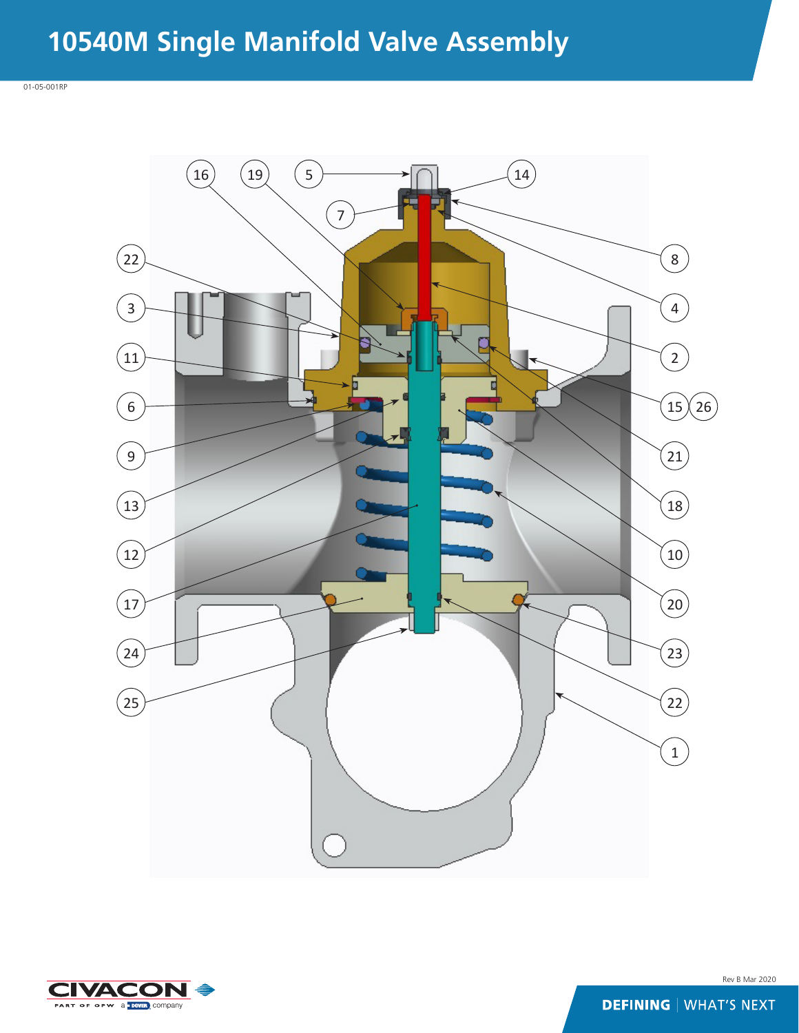## **10540M Single Manifold Valve Assembly**





Rev B Mar 2020

**DEFINING | WHAT'S NEXT**